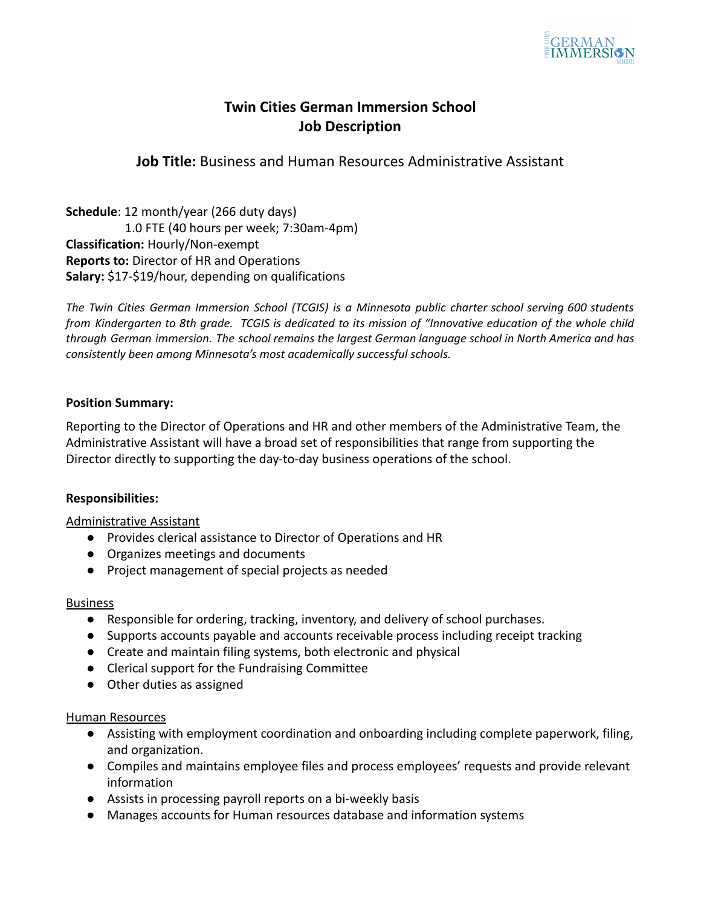

# **Twin Cities German Immersion School Job Description**

**Job Title:** Business and Human Resources Administrative Assistant

**Schedule**: 12 month/year (266 duty days) 1.0 FTE (40 hours per week; 7:30am-4pm) **Classification:** Hourly/Non-exempt **Reports to:** Director of HR and Operations **Salary:** \$17-\$19/hour, depending on qualifications

*The Twin Cities German Immersion School (TCGIS) is a Minnesota public charter school serving 600 students* from Kindergarten to 8th grade. TCGIS is dedicated to its mission of "Innovative education of the whole child *through German immersion. The school remains the largest German language school in North America and has consistently been among Minnesota's most academically successful schools.*

## **Position Summary:**

Reporting to the Director of Operations and HR and other members of the Administrative Team, the Administrative Assistant will have a broad set of responsibilities that range from supporting the Director directly to supporting the day-to-day business operations of the school.

## **Responsibilities:**

## Administrative Assistant

- Provides clerical assistance to Director of Operations and HR
- Organizes meetings and documents
- Project management of special projects as needed

## Business

- Responsible for ordering, tracking, inventory, and delivery of school purchases.
- Supports accounts payable and accounts receivable process including receipt tracking
- Create and maintain filing systems, both electronic and physical
- Clerical support for the Fundraising Committee
- Other duties as assigned

## Human Resources

- Assisting with employment coordination and onboarding including complete paperwork, filing, and organization.
- Compiles and maintains employee files and process employees' requests and provide relevant information
- Assists in processing payroll reports on a bi-weekly basis
- Manages accounts for Human resources database and information systems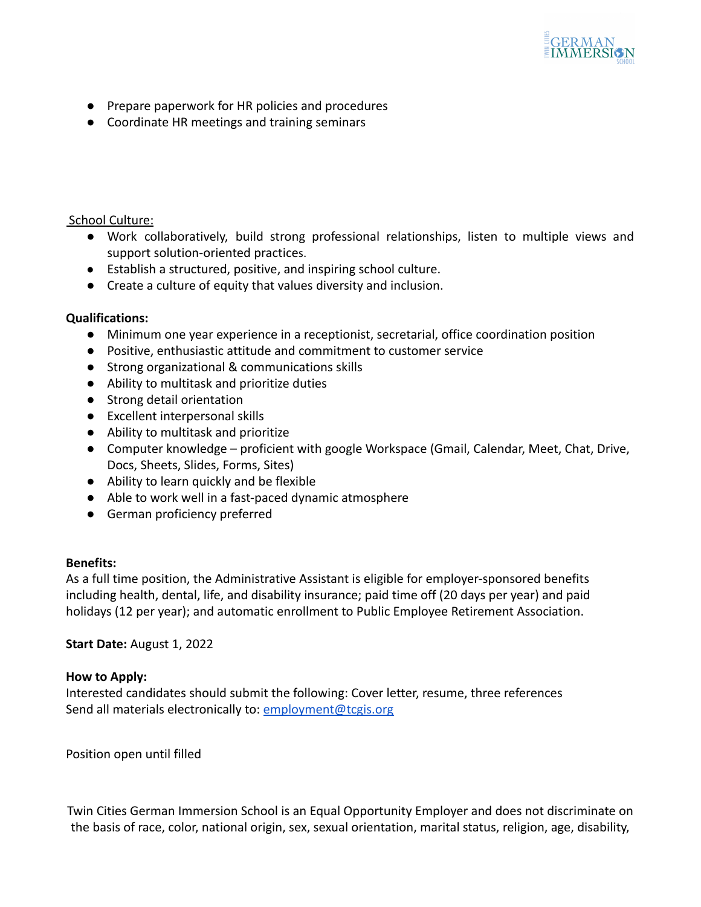

- Prepare paperwork for HR policies and procedures
- Coordinate HR meetings and training seminars

## School Culture:

- **●** Work collaboratively, build strong professional relationships, listen to multiple views and support solution-oriented practices.
- Establish a structured, positive, and inspiring school culture.
- Create a culture of equity that values diversity and inclusion.

#### **Qualifications:**

- Minimum one year experience in a receptionist, secretarial, office coordination position
- Positive, enthusiastic attitude and commitment to customer service
- Strong organizational & communications skills
- Ability to multitask and prioritize duties
- Strong detail orientation
- Excellent interpersonal skills
- Ability to multitask and prioritize
- Computer knowledge proficient with google Workspace (Gmail, Calendar, Meet, Chat, Drive, Docs, Sheets, Slides, Forms, Sites)
- Ability to learn quickly and be flexible
- Able to work well in a fast-paced dynamic atmosphere
- German proficiency preferred

#### **Benefits:**

As a full time position, the Administrative Assistant is eligible for employer-sponsored benefits including health, dental, life, and disability insurance; paid time off (20 days per year) and paid holidays (12 per year); and automatic enrollment to Public Employee Retirement Association.

**Start Date:** August 1, 2022

#### **How to Apply:**

Interested candidates should submit the following: Cover letter, resume, three references Send all materials electronically to: [employment@tcgis.org](mailto:employment@tcgis.org)

Position open until filled

Twin Cities German Immersion School is an Equal Opportunity Employer and does not discriminate on the basis of race, color, national origin, sex, sexual orientation, marital status, religion, age, disability,